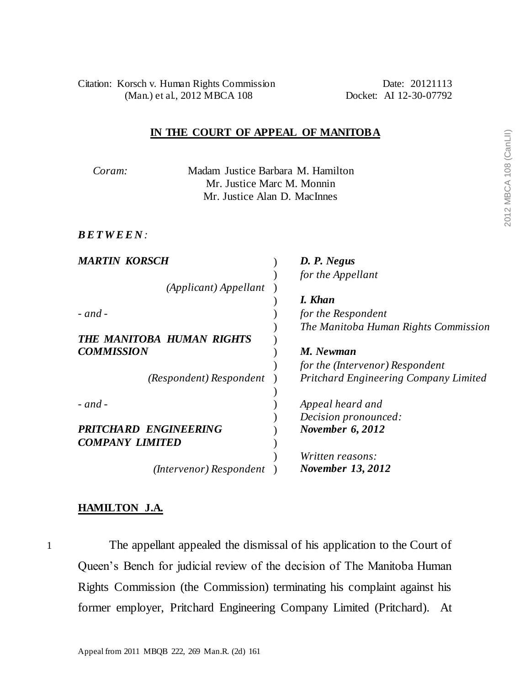Citation: Korsch v. Human Rights Commission Date: 20121113 (Man.) et al., 2012 MBCA 108 Docket: AI 12-30-07792

## **IN THE COURT OF APPEAL OF MANITOBA**

*Coram:* Madam Justice Barbara M. Hamilton Mr. Justice Marc M. Monnin Mr. Justice Alan D. MacInnes

*B E T W E E N :*

| <b>MARTIN KORSCH</b>         | D. P. Negus                                  |  |  |
|------------------------------|----------------------------------------------|--|--|
|                              | for the Appellant                            |  |  |
| (Applicant) Appellant        |                                              |  |  |
|                              | I. Khan                                      |  |  |
| $-$ and $-$                  | for the Respondent                           |  |  |
|                              | The Manitoba Human Rights Commission         |  |  |
| THE MANITOBA HUMAN RIGHTS    |                                              |  |  |
| <b>COMMISSION</b>            | M. Newman                                    |  |  |
|                              | for the (Intervenor) Respondent              |  |  |
| (Respondent) Respondent      | <b>Pritchard Engineering Company Limited</b> |  |  |
|                              |                                              |  |  |
| $-$ and $-$                  | Appeal heard and                             |  |  |
|                              | Decision pronounced:                         |  |  |
| <b>PRITCHARD ENGINEERING</b> | November 6, 2012                             |  |  |
| <b>COMPANY LIMITED</b>       |                                              |  |  |
|                              | Written reasons:                             |  |  |
| (Intervenor) Respondent      | <b>November 13, 2012</b>                     |  |  |

## **HAMILTON J.A.**

1 The appellant appealed the dismissal of his application to the Court of Queen's Bench for judicial review of the decision of The Manitoba Human Rights Commission (the Commission) terminating his complaint against his former employer, Pritchard Engineering Company Limited (Pritchard). At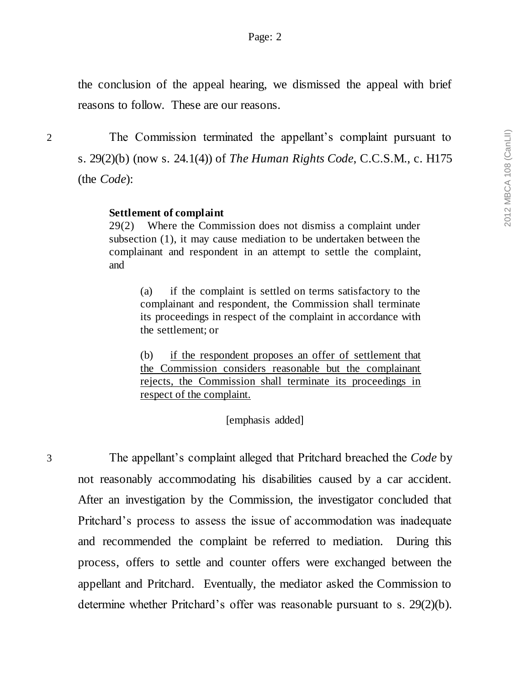the conclusion of the appeal hearing, we dismissed the appeal with brief reasons to follow. These are our reasons.

2 The Commission terminated the appellant's complaint pursuant to s. 29(2)(b) (now s. 24.1(4)) of *The Human Rights Code*, C.C.S.M., c. H175 (the *Code*):

## **Settlement of complaint**

29(2) Where the Commission does not dismiss a complaint under subsection (1), it may cause mediation to be undertaken between the complainant and respondent in an attempt to settle the complaint, and

(a) if the complaint is settled on terms satisfactory to the complainant and respondent, the Commission shall terminate its proceedings in respect of the complaint in accordance with the settlement; or

(b) if the respondent proposes an offer of settlement that the Commission considers reasonable but the complainant rejects, the Commission shall terminate its proceedings in respect of the complaint.

[emphasis added]

3 The appellant's complaint alleged that Pritchard breached the *Code* by not reasonably accommodating his disabilities caused by a car accident. After an investigation by the Commission, the investigator concluded that Pritchard's process to assess the issue of accommodation was inadequate and recommended the complaint be referred to mediation. During this process, offers to settle and counter offers were exchanged between the appellant and Pritchard. Eventually, the mediator asked the Commission to determine whether Pritchard's offer was reasonable pursuant to s. 29(2)(b).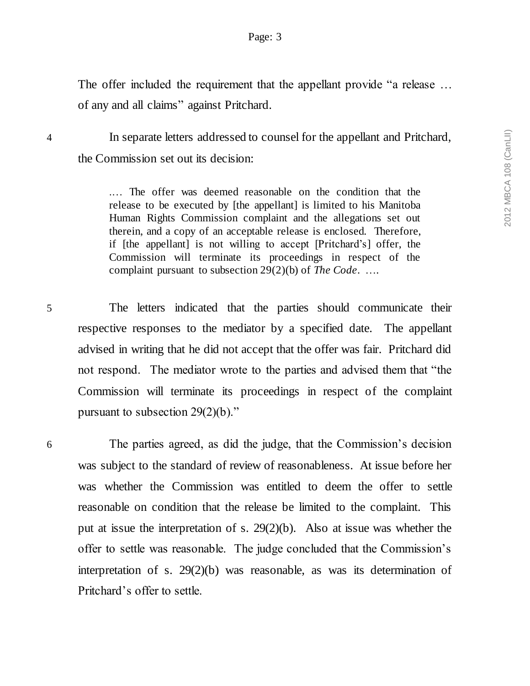The offer included the requirement that the appellant provide "a release ... of any and all claims" against Pritchard.

4 In separate letters addressed to counsel for the appellant and Pritchard, the Commission set out its decision:

> .… The offer was deemed reasonable on the condition that the release to be executed by [the appellant] is limited to his Manitoba Human Rights Commission complaint and the allegations set out therein, and a copy of an acceptable release is enclosed. Therefore, if [the appellant] is not willing to accept [Pritchard's] offer, the Commission will terminate its proceedings in respect of the complaint pursuant to subsection 29(2)(b) of *The Code*. ….

5 The letters indicated that the parties should communicate their respective responses to the mediator by a specified date. The appellant advised in writing that he did not accept that the offer was fair. Pritchard did not respond. The mediator wrote to the parties and advised them that "the Commission will terminate its proceedings in respect of the complaint pursuant to subsection 29(2)(b)."

6 The parties agreed, as did the judge, that the Commission's decision was subject to the standard of review of reasonableness. At issue before her was whether the Commission was entitled to deem the offer to settle reasonable on condition that the release be limited to the complaint. This put at issue the interpretation of s. 29(2)(b). Also at issue was whether the offer to settle was reasonable. The judge concluded that the Commission's interpretation of s. 29(2)(b) was reasonable, as was its determination of Pritchard's offer to settle.

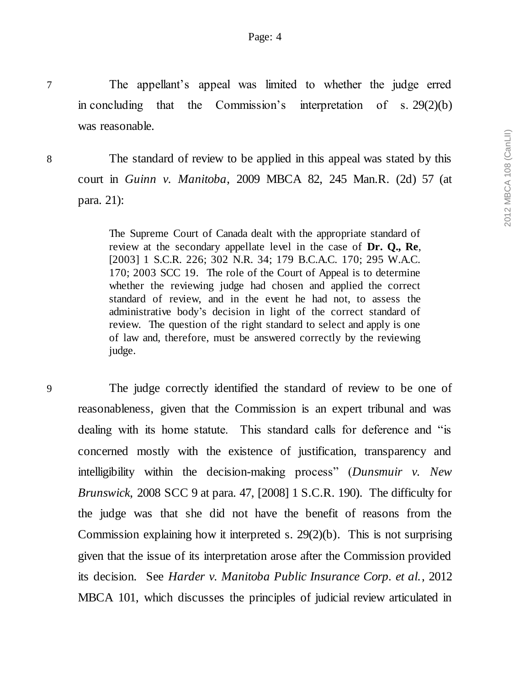7 The appellant's appeal was limited to whether the judge erred in concluding that the Commission's interpretation of s. 29(2)(b) was reasonable.

8 The standard of review to be applied in this appeal was stated by this court in *Guinn v. Manitoba*, 2009 MBCA 82, 245 Man.R. (2d) 57 (at para. 21):

> The Supreme Court of Canada dealt with the appropriate standard of review at the secondary appellate level in the case of **Dr. Q., Re**, [2003] 1 S.C.R. 226; 302 N.R. 34; 179 B.C.A.C. 170; 295 W.A.C. 170; 2003 SCC 19. The role of the Court of Appeal is to determine whether the reviewing judge had chosen and applied the correct standard of review, and in the event he had not, to assess the administrative body's decision in light of the correct standard of review. The question of the right standard to select and apply is one of law and, therefore, must be answered correctly by the reviewing judge.

9 The judge correctly identified the standard of review to be one of reasonableness, given that the Commission is an expert tribunal and was dealing with its home statute. This standard calls for deference and "is concerned mostly with the existence of justification, transparency and intelligibility within the decision-making process" (*Dunsmuir v. New Brunswick*, 2008 SCC 9 at para. 47, [2008] 1 S.C.R. 190). The difficulty for the judge was that she did not have the benefit of reasons from the Commission explaining how it interpreted s. 29(2)(b). This is not surprising given that the issue of its interpretation arose after the Commission provided its decision. See *Harder v. Manitoba Public Insurance Corp. et al.*, 2012 MBCA 101, which discusses the principles of judicial review articulated in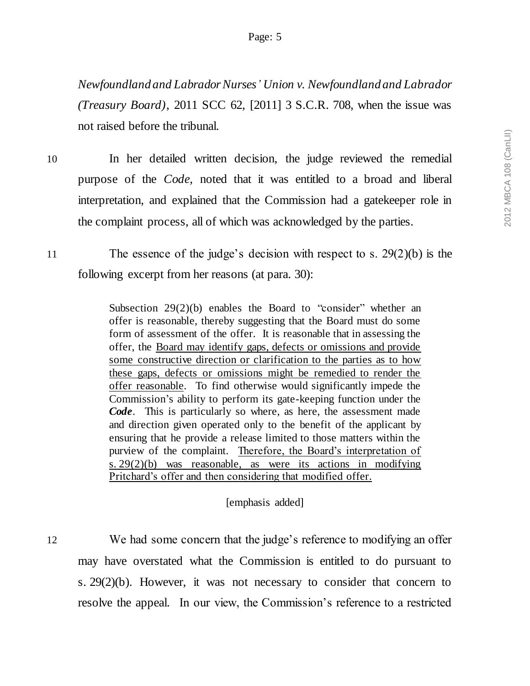*Newfoundland and Labrador Nurses' Union v. Newfoundland and Labrador (Treasury Board)*, 2011 SCC 62, [2011] 3 S.C.R. 708, when the issue was not raised before the tribunal.

- 10 In her detailed written decision, the judge reviewed the remedial purpose of the *Code*, noted that it was entitled to a broad and liberal interpretation, and explained that the Commission had a gatekeeper role in the complaint process, all of which was acknowledged by the parties.
- 11 The essence of the judge's decision with respect to s. 29(2)(b) is the following excerpt from her reasons (at para. 30):

Subsection 29(2)(b) enables the Board to "consider" whether an offer is reasonable, thereby suggesting that the Board must do some form of assessment of the offer. It is reasonable that in assessing the offer, the Board may identify gaps, defects or omissions and provide some constructive direction or clarification to the parties as to how these gaps, defects or omissions might be remedied to render the offer reasonable. To find otherwise would significantly impede the Commission's ability to perform its gate-keeping function under the *Code*. This is particularly so where, as here, the assessment made and direction given operated only to the benefit of the applicant by ensuring that he provide a release limited to those matters within the purview of the complaint. Therefore, the Board's interpretation of s. 29(2)(b) was reasonable, as were its actions in modifying Pritchard's offer and then considering that modified offer.

## [emphasis added]

12 We had some concern that the judge's reference to modifying an offer may have overstated what the Commission is entitled to do pursuant to s. 29(2)(b). However, it was not necessary to consider that concern to resolve the appeal. In our view, the Commission's reference to a restricted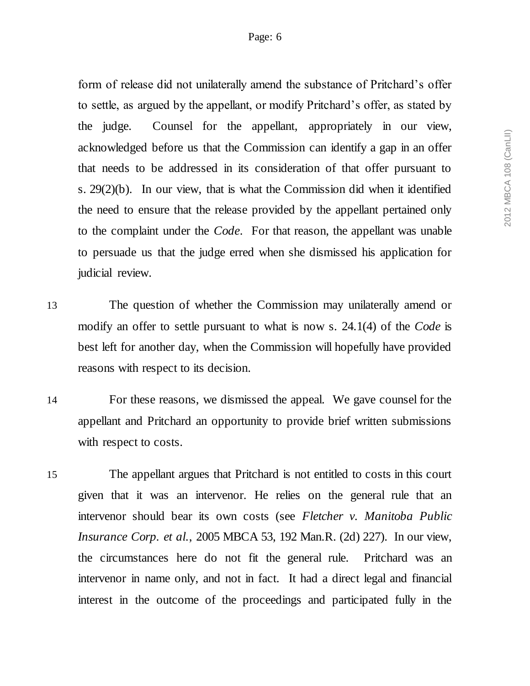form of release did not unilaterally amend the substance of Pritchard's offer to settle, as argued by the appellant, or modify Pritchard's offer, as stated by the judge. Counsel for the appellant, appropriately in our view, acknowledged before us that the Commission can identify a gap in an offer that needs to be addressed in its consideration of that offer pursuant to s. 29(2)(b). In our view, that is what the Commission did when it identified the need to ensure that the release provided by the appellant pertained only to the complaint under the *Code*. For that reason, the appellant was unable to persuade us that the judge erred when she dismissed his application for judicial review.

13 The question of whether the Commission may unilaterally amend or modify an offer to settle pursuant to what is now s. 24.1(4) of the *Code* is best left for another day, when the Commission will hopefully have provided reasons with respect to its decision.

14 For these reasons, we dismissed the appeal. We gave counsel for the appellant and Pritchard an opportunity to provide brief written submissions with respect to costs.

15 The appellant argues that Pritchard is not entitled to costs in this court given that it was an intervenor. He relies on the general rule that an intervenor should bear its own costs (see *Fletcher v. Manitoba Public Insurance Corp. et al.*, 2005 MBCA 53, 192 Man.R. (2d) 227). In our view, the circumstances here do not fit the general rule. Pritchard was an intervenor in name only, and not in fact. It had a direct legal and financial interest in the outcome of the proceedings and participated fully in the